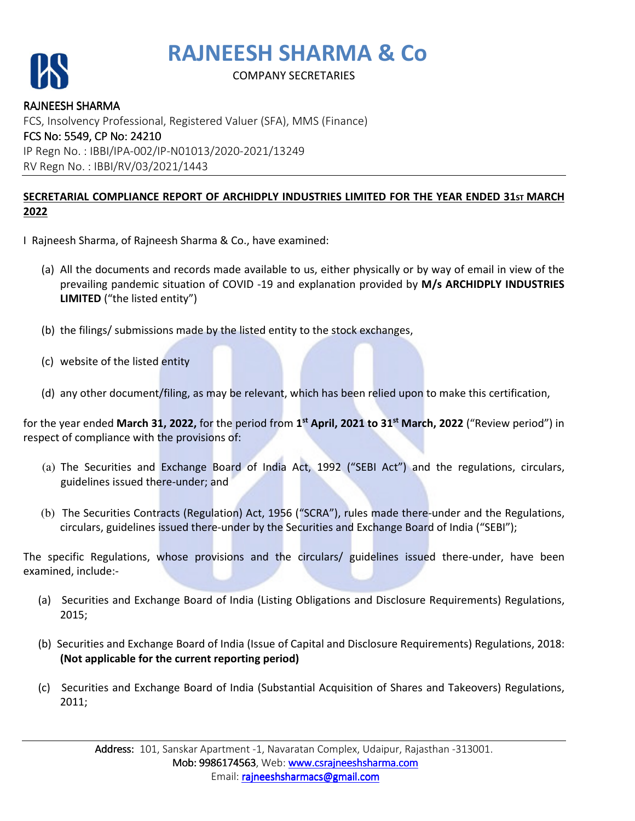

#### COMPANY SECRETARIES

RAJNEESH SHARMA FCS, Insolvency Professional, Registered Valuer (SFA), MMS (Finance) FCS No: 5549, CP No: 24210 IP Regn No. : IBBI/IPA-002/IP-N01013/2020-2021/13249 RV Regn No. : IBBI/RV/03/2021/1443

#### **SECRETARIAL COMPLIANCE REPORT OF ARCHIDPLY INDUSTRIES LIMITED FOR THE YEAR ENDED 31ST MARCH 2022**

I Rajneesh Sharma, of Rajneesh Sharma & Co., have examined:

- (a) All the documents and records made available to us, either physically or by way of email in view of the prevailing pandemic situation of COVID -19 and explanation provided by **M/s ARCHIDPLY INDUSTRIES LIMITED** ("the listed entity")
- (b) the filings/ submissions made by the listed entity to the stock exchanges,
- (c) website of the listed entity
- (d) any other document/filing, as may be relevant, which has been relied upon to make this certification,

for the year ended **March 31, 2022,** for the period from **1 st April, 2021 to 31st March, 2022** ("Review period") in respect of compliance with the provisions of:

- (a) The Securities and Exchange Board of India Act, 1992 ("SEBI Act") and the regulations, circulars, guidelines issued there-under; and
- (b) The Securities Contracts (Regulation) Act, 1956 ("SCRA"), rules made there-under and the Regulations, circulars, guidelines issued there-under by the Securities and Exchange Board of India ("SEBI");

The specific Regulations, whose provisions and the circulars/ guidelines issued there-under, have been examined, include:-

- (a) Securities and Exchange Board of India (Listing Obligations and Disclosure Requirements) Regulations, 2015;
- (b) Securities and Exchange Board of India (Issue of Capital and Disclosure Requirements) Regulations, 2018: **(Not applicable for the current reporting period)**
- (c) Securities and Exchange Board of India (Substantial Acquisition of Shares and Takeovers) Regulations, 2011;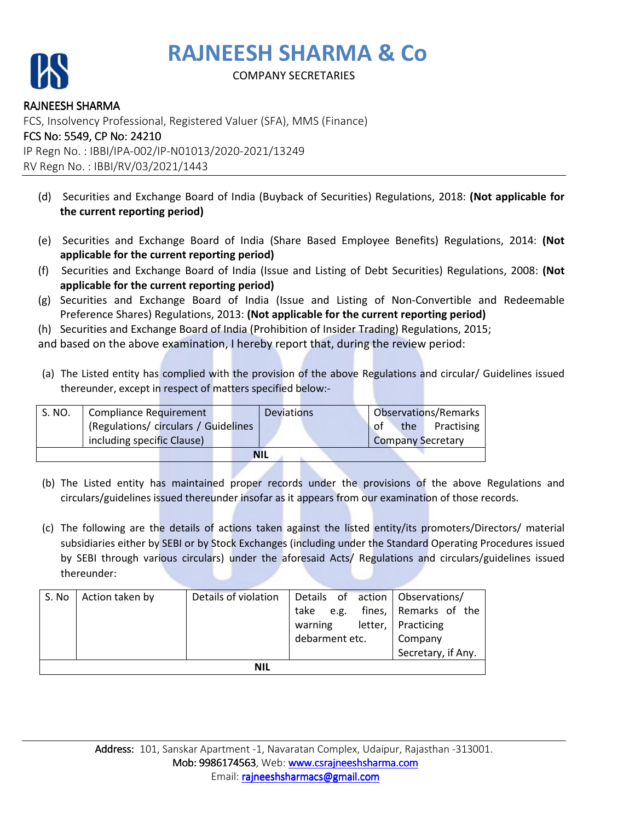

#### COMPANY SECRETARIES

#### RAJNEESH SHARMA

FCS, Insolvency Professional, Registered Valuer (SFA), MMS (Finance)

#### FCS No: 5549, CP No: 24210

IP Regn No. : IBBI/IPA-002/IP-N01013/2020-2021/13249 RV Regn No. : IBBI/RV/03/2021/1443

- (d) Securities and Exchange Board of India (Buyback of Securities) Regulations, 2018: **(Not applicable for the current reporting period)**
- (e) Securities and Exchange Board of India (Share Based Employee Benefits) Regulations, 2014: **(Not applicable for the current reporting period)**
- (f) Securities and Exchange Board of India (Issue and Listing of Debt Securities) Regulations, 2008: **(Not applicable for the current reporting period)**
- (g) Securities and Exchange Board of India (Issue and Listing of Non-Convertible and Redeemable Preference Shares) Regulations, 2013: **(Not applicable for the current reporting period)**
- (h) Securities and Exchange Board of India (Prohibition of Insider Trading) Regulations, 2015;

and based on the above examination, I hereby report that, during the review period:

(a) The Listed entity has complied with the provision of the above Regulations and circular/ Guidelines issued thereunder, except in respect of matters specified below:-

| S. NO.     | Compliance Requirement               |  | Deviations |  | Observations/Remarks |  |                          |
|------------|--------------------------------------|--|------------|--|----------------------|--|--------------------------|
|            | (Regulations/ circulars / Guidelines |  |            |  | ∣ of ⊦               |  | the Practising           |
|            | including specific Clause)           |  |            |  |                      |  | <b>Company Secretary</b> |
| <b>NIL</b> |                                      |  |            |  |                      |  |                          |

- (b) The Listed entity has maintained proper records under the provisions of the above Regulations and circulars/guidelines issued thereunder insofar as it appears from our examination of those records.
- (c) The following are the details of actions taken against the listed entity/its promoters/Directors/ material subsidiaries either by SEBI or by Stock Exchanges (including under the Standard Operating Procedures issued by SEBI through various circulars) under the aforesaid Acts/ Regulations and circulars/guidelines issued thereunder:

| S. No      | Action taken by | Details of violation | Details of action Observations/ |                      |  |  |
|------------|-----------------|----------------------|---------------------------------|----------------------|--|--|
|            |                 |                      | take e.g. fines, Remarks of the |                      |  |  |
|            |                 |                      | warning                         | letter,   Practicing |  |  |
|            |                 |                      | debarment etc.                  | Company              |  |  |
|            |                 |                      |                                 | Secretary, if Any.   |  |  |
| <b>NIL</b> |                 |                      |                                 |                      |  |  |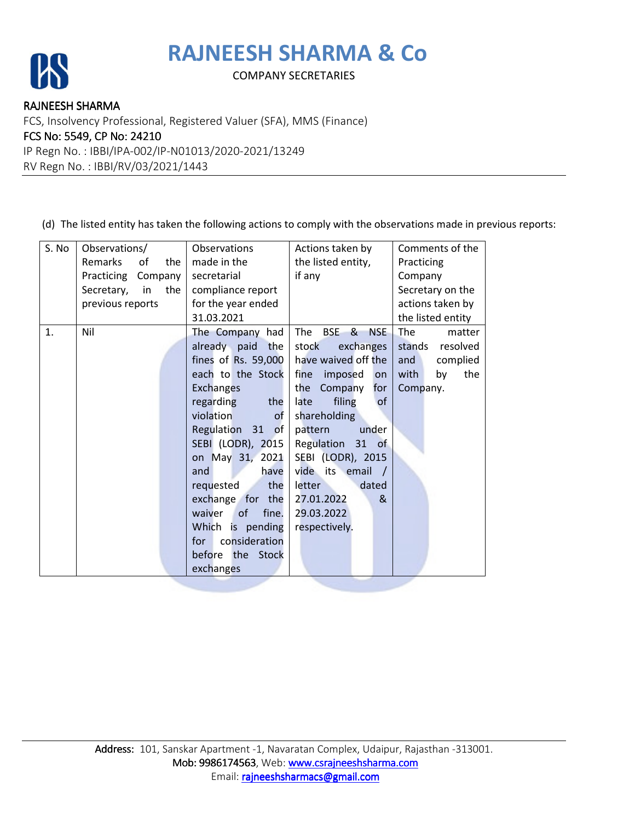

#### COMPANY SECRETARIES

#### RAJNEESH SHARMA

FCS, Insolvency Professional, Registered Valuer (SFA), MMS (Finance) FCS No: 5549, CP No: 24210 IP Regn No. : IBBI/IPA-002/IP-N01013/2020-2021/13249 RV Regn No. : IBBI/RV/03/2021/1443

(d) The listed entity has taken the following actions to comply with the observations made in previous reports:

| S. No          | Observations/           | Observations           | Actions taken by                     | Comments of the   |
|----------------|-------------------------|------------------------|--------------------------------------|-------------------|
|                | Remarks<br>of<br>the    | made in the            | the listed entity,                   | Practicing        |
|                | Practicing<br>Company   | secretarial            | if any                               | Company           |
|                | in<br>the<br>Secretary, | compliance report      |                                      | Secretary on the  |
|                | previous reports        | for the year ended     |                                      | actions taken by  |
|                |                         | 31.03.2021             |                                      | the listed entity |
| $\mathbf{1}$ . | Nil                     | The Company had        | The<br><b>BSE</b><br>&<br><b>NSE</b> | The<br>matter     |
|                |                         | already paid the       | stock<br>exchanges                   | stands resolved   |
|                |                         | fines of Rs. 59,000    | have waived off the                  | complied<br>and   |
|                |                         | each to the Stock fine | imposed<br>on                        | with<br>by<br>the |
|                |                         | <b>Exchanges</b>       | the<br>Company<br>for                | Company.          |
|                |                         | regarding<br>the       | filing<br>of<br>late                 |                   |
|                |                         | violation<br>of        | shareholding                         |                   |
|                |                         | Regulation 31 of       | pattern<br>under                     |                   |
|                |                         | SEBI (LODR), 2015      | Regulation 31 of                     |                   |
|                |                         | on May 31, 2021        | SEBI (LODR), 2015                    |                   |
|                |                         | have<br>and            | vide its email                       |                   |
|                |                         | the<br>requested       | letter<br>dated                      |                   |
|                |                         | exchange for the       | $\mathcal{R}_{1}$<br>27.01.2022      |                   |
|                |                         | waiver<br>of<br>fine.  | 29.03.2022                           |                   |
|                |                         | Which is pending       | respectively.                        |                   |
|                |                         | consideration<br>for   |                                      |                   |
|                |                         | before the Stock       |                                      |                   |
|                |                         | exchanges              |                                      |                   |